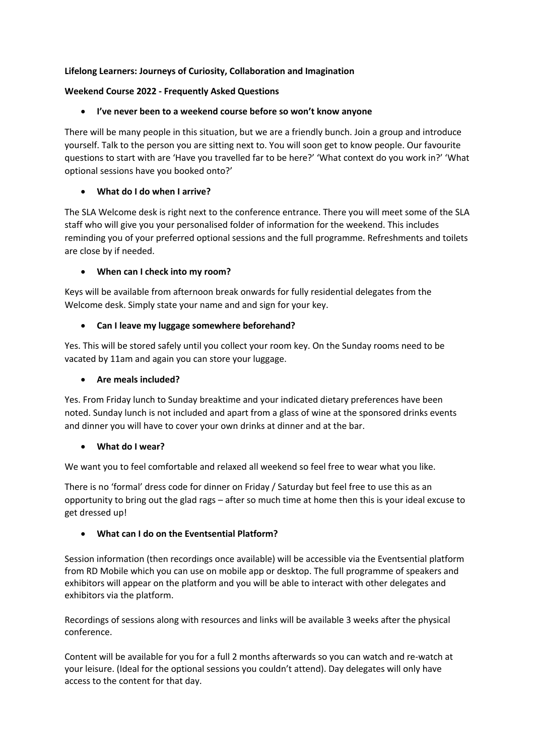## **Lifelong Learners: Journeys of Curiosity, Collaboration and Imagination**

## **Weekend Course 2022 - Frequently Asked Questions**

# • **I've never been to a weekend course before so won't know anyone**

There will be many people in this situation, but we are a friendly bunch. Join a group and introduce yourself. Talk to the person you are sitting next to. You will soon get to know people. Our favourite questions to start with are 'Have you travelled far to be here?' 'What context do you work in?' 'What optional sessions have you booked onto?'

# • **What do I do when I arrive?**

The SLA Welcome desk is right next to the conference entrance. There you will meet some of the SLA staff who will give you your personalised folder of information for the weekend. This includes reminding you of your preferred optional sessions and the full programme. Refreshments and toilets are close by if needed.

# • **When can I check into my room?**

Keys will be available from afternoon break onwards for fully residential delegates from the Welcome desk. Simply state your name and and sign for your key.

# • **Can I leave my luggage somewhere beforehand?**

Yes. This will be stored safely until you collect your room key. On the Sunday rooms need to be vacated by 11am and again you can store your luggage.

## • **Are meals included?**

Yes. From Friday lunch to Sunday breaktime and your indicated dietary preferences have been noted. Sunday lunch is not included and apart from a glass of wine at the sponsored drinks events and dinner you will have to cover your own drinks at dinner and at the bar.

## • **What do I wear?**

We want you to feel comfortable and relaxed all weekend so feel free to wear what you like.

There is no 'formal' dress code for dinner on Friday / Saturday but feel free to use this as an opportunity to bring out the glad rags – after so much time at home then this is your ideal excuse to get dressed up!

# • **What can I do on the Eventsential Platform?**

Session information (then recordings once available) will be accessible via the Eventsential platform from RD Mobile which you can use on mobile app or desktop. The full programme of speakers and exhibitors will appear on the platform and you will be able to interact with other delegates and exhibitors via the platform.

Recordings of sessions along with resources and links will be available 3 weeks after the physical conference.

Content will be available for you for a full 2 months afterwards so you can watch and re-watch at your leisure. (Ideal for the optional sessions you couldn't attend). Day delegates will only have access to the content for that day.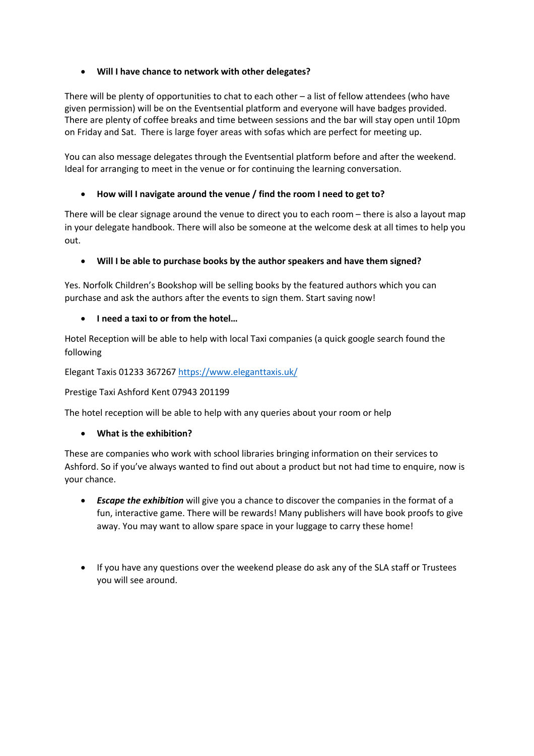# • **Will I have chance to network with other delegates?**

There will be plenty of opportunities to chat to each other – a list of fellow attendees (who have given permission) will be on the Eventsential platform and everyone will have badges provided. There are plenty of coffee breaks and time between sessions and the bar will stay open until 10pm on Friday and Sat. There is large foyer areas with sofas which are perfect for meeting up.

You can also message delegates through the Eventsential platform before and after the weekend. Ideal for arranging to meet in the venue or for continuing the learning conversation.

# • **How will I navigate around the venue / find the room I need to get to?**

There will be clear signage around the venue to direct you to each room – there is also a layout map in your delegate handbook. There will also be someone at the welcome desk at all times to help you out.

# • **Will I be able to purchase books by the author speakers and have them signed?**

Yes. Norfolk Children's Bookshop will be selling books by the featured authors which you can purchase and ask the authors after the events to sign them. Start saving now!

## • **I need a taxi to or from the hotel…**

Hotel Reception will be able to help with local Taxi companies (a quick google search found the following

Elegant Taxis 01233 367267 https://www.eleganttaxis.uk/

Prestige Taxi Ashford Kent 07943 201199

The hotel reception will be able to help with any queries about your room or help

## • **What is the exhibition?**

These are companies who work with school libraries bringing information on their services to Ashford. So if you've always wanted to find out about a product but not had time to enquire, now is your chance.

- *Escape the exhibition* will give you a chance to discover the companies in the format of a fun, interactive game. There will be rewards! Many publishers will have book proofs to give away. You may want to allow spare space in your luggage to carry these home!
- If you have any questions over the weekend please do ask any of the SLA staff or Trustees you will see around.